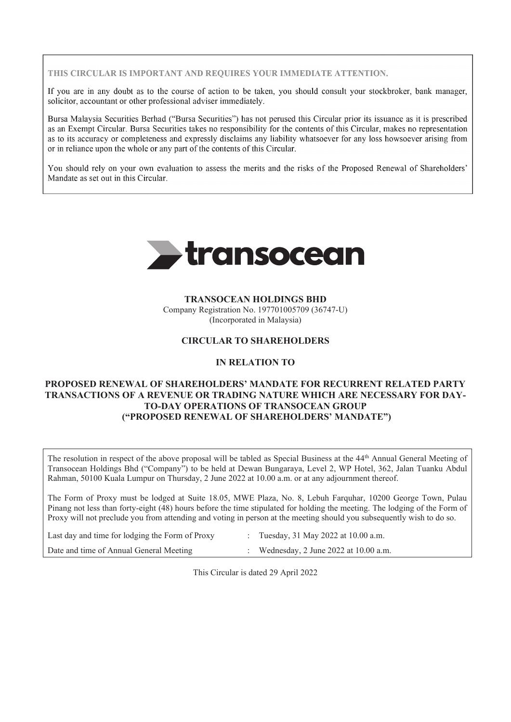THIS CIRCULAR IS IMPORTANT AND REOUIRES YOUR IMMEDIATE ATTENTION.

If you are in any doubt as to the course of action to be taken, you should consult your stockbroker, bank manager,  $\text{solicitor. } \text{accountant or other professional adverse immediately.}$ 

Bursa Malaysia Securities Berhad ("Bursa Securities") has not perused this Circular prior its issuance as it is prescribed as an Exempt Circular. Bursa Securities takes no responsibility for the contents of this Circular, makes no representation as to its accuracy or completeness and expressly disclaims any liability whatsoever for any loss howsoever arising from or in reliance upon the whole or any part of the contents of this Circular. as an Exempt Circular. Bursa Securities takes no responsibility for this Circular, makes no representation of this Circular, makes no representation of this Circular, makes no representation of this Circular, makes no rep

You should rely on your own evaluation to assess the merits and the risks of the Proposed Renewal of Shareholders' Mandate as set out in this Circular.

You should rely on your own evaluation to assess the merits and the risks of the Proposed Renewal of Shareholders'



#### **TRANSOCEAN HOLDINGS BHD**

Company Registration No. 197701005709 (36747-U) (Incorporated in Malaysia)

#### **CIRCULAR TO SHAREHOLDERS**

#### **IN RELATION TO**

## **PROPOSED RENEWAL OF SHAREHOLDERS' MANDATE FOR RECURRENT RELATED PARTY TRANSACTIONS OF A REVENUE OR TRADING NATURE WHICH ARE NECESSARY FOR DAY-TO-DAY OPERATIONS OF TRANSOCEAN GROUP ("PROPOSED RENEWAL OF SHAREHOLDERS' MANDATE")**

The resolution in respect of the above proposal will be tabled as Special Business at the 44<sup>th</sup> Annual General Meeting of Transocean Holdings Bhd ("Company") to be held at Dewan Bungaraya, Level 2, WP Hotel, 362, Jalan Tuanku Abdul Rahman, 50100 Kuala Lumpur on Thursday, 2 June 2022 at 10.00 a.m. or at any adjournment thereof.

The Form of Proxy must be lodged at Suite 18.05, MWE Plaza, No. 8, Lebuh Farquhar, 10200 George Town, Pulau Pinang not less than forty-eight (48) hours before the time stipulated for holding the meeting. The lodging of the Form of Proxy will not preclude you from attending and voting in person at the meeting should you subsequently wish to do so.

| Last day and time for lodging the Form of Proxy | : Tuesday, 31 May 2022 at 10.00 a.m.   |
|-------------------------------------------------|----------------------------------------|
| Date and time of Annual General Meeting         | : Wednesday, 2 June 2022 at 10.00 a.m. |

This Circular is dated 29 April 2022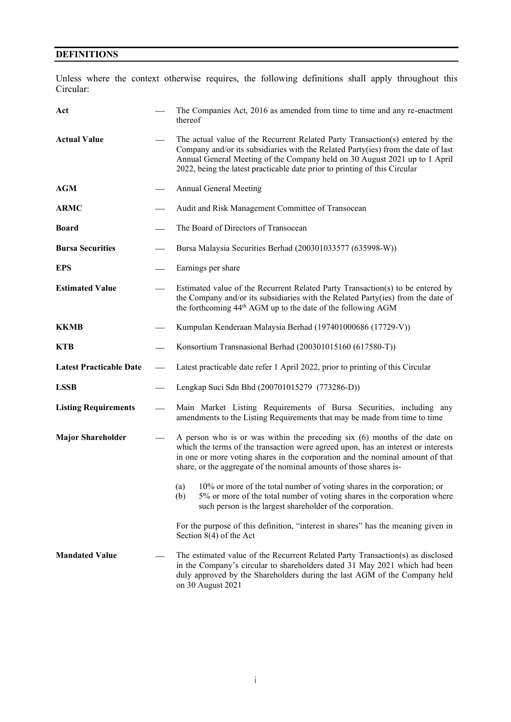# **DEFINITIONS**

Unless where the context otherwise requires, the following definitions shall apply throughout this Circular:

| Act                            | The Companies Act, 2016 as amended from time to time and any re-enactment<br>thereof                                                                                                                                                                                                                                           |
|--------------------------------|--------------------------------------------------------------------------------------------------------------------------------------------------------------------------------------------------------------------------------------------------------------------------------------------------------------------------------|
| <b>Actual Value</b>            | The actual value of the Recurrent Related Party Transaction(s) entered by the<br>Company and/or its subsidiaries with the Related Party(ies) from the date of last<br>Annual General Meeting of the Company held on 30 August 2021 up to 1 April<br>2022, being the latest practicable date prior to printing of this Circular |
| <b>AGM</b>                     | Annual General Meeting                                                                                                                                                                                                                                                                                                         |
| <b>ARMC</b>                    | Audit and Risk Management Committee of Transocean                                                                                                                                                                                                                                                                              |
| <b>Board</b>                   | The Board of Directors of Transocean                                                                                                                                                                                                                                                                                           |
| <b>Bursa Securities</b>        | Bursa Malaysia Securities Berhad (200301033577 (635998-W))                                                                                                                                                                                                                                                                     |
| <b>EPS</b>                     | Earnings per share                                                                                                                                                                                                                                                                                                             |
| <b>Estimated Value</b>         | Estimated value of the Recurrent Related Party Transaction(s) to be entered by<br>the Company and/or its subsidiaries with the Related Party(ies) from the date of<br>the forthcoming 44 <sup>th</sup> AGM up to the date of the following AGM                                                                                 |
| <b>KKMB</b>                    | Kumpulan Kenderaan Malaysia Berhad (197401000686 (17729-V))                                                                                                                                                                                                                                                                    |
| <b>KTB</b>                     | Konsortium Transnasional Berhad (200301015160 (617580-T))                                                                                                                                                                                                                                                                      |
| <b>Latest Practicable Date</b> | Latest practicable date refer 1 April 2022, prior to printing of this Circular                                                                                                                                                                                                                                                 |
| <b>LSSB</b>                    | Lengkap Suci Sdn Bhd (200701015279 (773286-D))                                                                                                                                                                                                                                                                                 |
| <b>Listing Requirements</b>    | Main Market Listing Requirements of Bursa Securities, including any<br>amendments to the Listing Requirements that may be made from time to time                                                                                                                                                                               |
| <b>Major Shareholder</b>       | A person who is or was within the preceding $six(6)$ months of the date on<br>which the terms of the transaction were agreed upon, has an interest or interests<br>in one or more voting shares in the corporation and the nominal amount of that<br>share, or the aggregate of the nominal amounts of those shares is-        |
|                                | (a) 10% or more of the total number of voting shares in the corporation; or<br>5% or more of the total number of voting shares in the corporation where<br>(b)<br>such person is the largest shareholder of the corporation.                                                                                                   |
|                                | For the purpose of this definition, "interest in shares" has the meaning given in<br>Section $8(4)$ of the Act                                                                                                                                                                                                                 |
| <b>Mandated Value</b>          | The estimated value of the Recurrent Related Party Transaction(s) as disclosed<br>in the Company's circular to shareholders dated 31 May 2021 which had been<br>duly approved by the Shareholders during the last AGM of the Company held<br>on 30 August 2021                                                                 |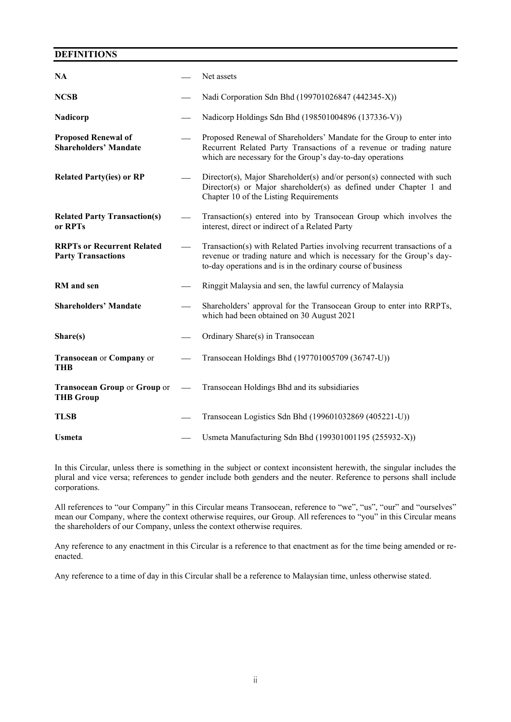## **DEFINITIONS**

| <b>NA</b>                                                      | Net assets                                                                                                                                                                                                        |
|----------------------------------------------------------------|-------------------------------------------------------------------------------------------------------------------------------------------------------------------------------------------------------------------|
| <b>NCSB</b>                                                    | Nadi Corporation Sdn Bhd (199701026847 (442345-X))                                                                                                                                                                |
| Nadicorp                                                       | Nadicorp Holdings Sdn Bhd (198501004896 (137336-V))                                                                                                                                                               |
| <b>Proposed Renewal of</b><br><b>Shareholders' Mandate</b>     | Proposed Renewal of Shareholders' Mandate for the Group to enter into<br>Recurrent Related Party Transactions of a revenue or trading nature<br>which are necessary for the Group's day-to-day operations         |
| <b>Related Party(ies) or RP</b>                                | Director(s), Major Shareholder(s) and/or person(s) connected with such<br>Director(s) or Major shareholder(s) as defined under Chapter 1 and<br>Chapter 10 of the Listing Requirements                            |
| <b>Related Party Transaction(s)</b><br>or RPTs                 | Transaction(s) entered into by Transocean Group which involves the<br>interest, direct or indirect of a Related Party                                                                                             |
| <b>RRPTs or Recurrent Related</b><br><b>Party Transactions</b> | Transaction(s) with Related Parties involving recurrent transactions of a<br>revenue or trading nature and which is necessary for the Group's day-<br>to-day operations and is in the ordinary course of business |
| RM and sen                                                     | Ringgit Malaysia and sen, the lawful currency of Malaysia                                                                                                                                                         |
| <b>Shareholders' Mandate</b>                                   | Shareholders' approval for the Transocean Group to enter into RRPTs,<br>which had been obtained on 30 August 2021                                                                                                 |
| Share(s)                                                       | Ordinary Share(s) in Transocean                                                                                                                                                                                   |
| Transocean or Company or<br><b>THB</b>                         | Transocean Holdings Bhd (197701005709 (36747-U))                                                                                                                                                                  |
| <b>Transocean Group or Group or</b><br><b>THB Group</b>        | Transocean Holdings Bhd and its subsidiaries                                                                                                                                                                      |
| <b>TLSB</b>                                                    | Transocean Logistics Sdn Bhd (199601032869 (405221-U))                                                                                                                                                            |
| <b>Usmeta</b>                                                  | Usmeta Manufacturing Sdn Bhd (199301001195 (255932-X))                                                                                                                                                            |

In this Circular, unless there is something in the subject or context inconsistent herewith, the singular includes the plural and vice versa; references to gender include both genders and the neuter. Reference to persons shall include corporations.

All references to "our Company" in this Circular means Transocean, reference to "we", "us", "our" and "ourselves" mean our Company, where the context otherwise requires, our Group. All references to "you" in this Circular means the shareholders of our Company, unless the context otherwise requires.

Any reference to any enactment in this Circular is a reference to that enactment as for the time being amended or reenacted.

Any reference to a time of day in this Circular shall be a reference to Malaysian time, unless otherwise stated.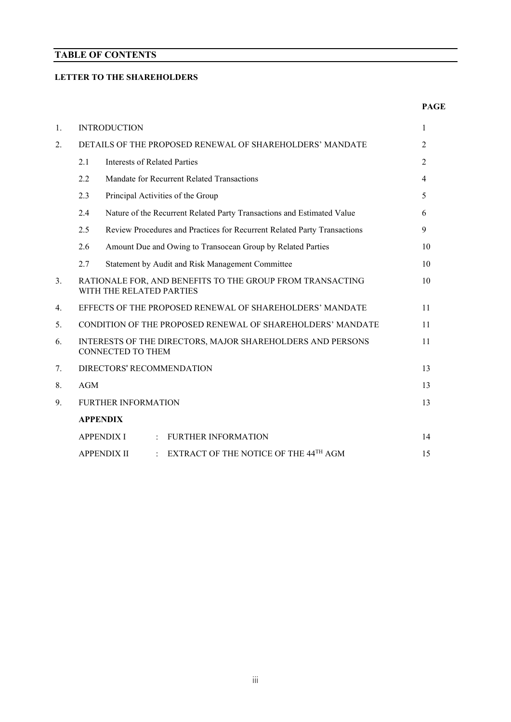## **TABLE OF CONTENTS**

## **LETTER TO THE SHAREHOLDERS**

#### **PAGE**

| 1. |     | <b>INTRODUCTION</b>                                                                    | 1              |
|----|-----|----------------------------------------------------------------------------------------|----------------|
| 2. |     | DETAILS OF THE PROPOSED RENEWAL OF SHAREHOLDERS' MANDATE                               | 2              |
|    | 2.1 | Interests of Related Parties                                                           | $\overline{2}$ |
|    | 2.2 | Mandate for Recurrent Related Transactions                                             | $\overline{4}$ |
|    | 2.3 | Principal Activities of the Group                                                      | 5              |
|    | 2.4 | Nature of the Recurrent Related Party Transactions and Estimated Value                 | 6              |
|    | 2.5 | Review Procedures and Practices for Recurrent Related Party Transactions               | 9              |
|    | 2.6 | Amount Due and Owing to Transocean Group by Related Parties                            | 10             |
|    | 2.7 | Statement by Audit and Risk Management Committee                                       | 10             |
| 3. |     | RATIONALE FOR, AND BENEFITS TO THE GROUP FROM TRANSACTING<br>WITH THE RELATED PARTIES  | 10             |
| 4. |     | EFFECTS OF THE PROPOSED RENEWAL OF SHAREHOLDERS' MANDATE                               | 11             |
| 5. |     | CONDITION OF THE PROPOSED RENEWAL OF SHAREHOLDERS' MANDATE                             | 11             |
| 6. |     | INTERESTS OF THE DIRECTORS, MAJOR SHAREHOLDERS AND PERSONS<br><b>CONNECTED TO THEM</b> | 11             |
| 7. |     | DIRECTORS' RECOMMENDATION                                                              | 13             |
| 8. | AGM |                                                                                        | 13             |
| 9. |     | <b>FURTHER INFORMATION</b>                                                             | 13             |
|    |     | <b>APPENDIX</b>                                                                        |                |
|    |     | <b>APPENDIX I</b><br><b>FURTHER INFORMATION</b>                                        | 14             |
|    |     | EXTRACT OF THE NOTICE OF THE 44TH AGM<br><b>APPENDIX II</b>                            | 15             |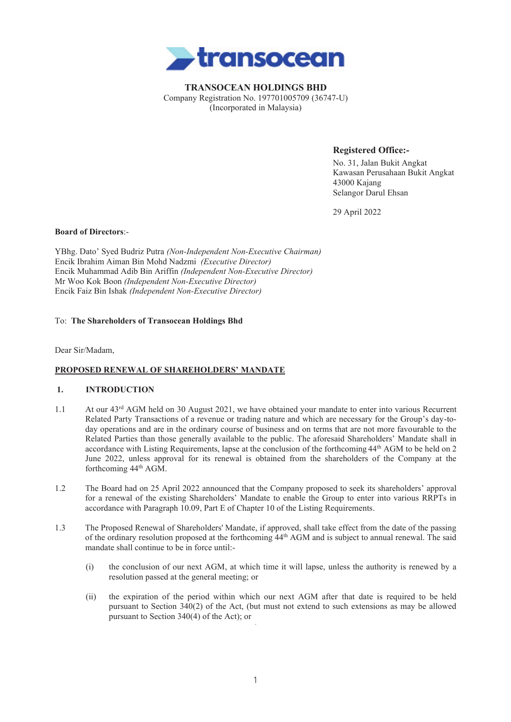

**TRANSOCEAN HOLDINGS BHD** Company Registration No. 197701005709 (36747-U) (Incorporated in Malaysia)

**Registered Office:-**

No. 31, Jalan Bukit Angkat Kawasan Perusahaan Bukit Angkat 43000 Kajang Selangor Darul Ehsan

29 April 2022

#### **Board of Directors**:-

YBhg. Dato' Syed Budriz Putra *(Non-Independent Non-Executive Chairman)* Encik Ibrahim Aiman Bin Mohd Nadzmi *(Executive Director)* Encik Muhammad Adib Bin Ariffin *(Independent Non-Executive Director)* Mr Woo Kok Boon *(Independent Non-Executive Director)* Encik Faiz Bin Ishak *(Independent Non-Executive Director)*

#### To: **The Shareholders of Transocean Holdings Bhd**

Dear Sir/Madam,

#### **PROPOSED RENEWAL OF SHAREHOLDERS' MANDATE**

#### **1. INTRODUCTION**

- 1.1 At our 43rd AGM held on 30 August 2021, we have obtained your mandate to enter into various Recurrent Related Party Transactions of a revenue or trading nature and which are necessary for the Group's day-today operations and are in the ordinary course of business and on terms that are not more favourable to the Related Parties than those generally available to the public. The aforesaid Shareholders' Mandate shall in accordance with Listing Requirements, lapse at the conclusion of the forthcoming 44th AGM to be held on 2 June 2022, unless approval for its renewal is obtained from the shareholders of the Company at the forthcoming 44th AGM.
- 1.2 The Board had on 25 April 2022 announced that the Company proposed to seek its shareholders' approval for a renewal of the existing Shareholders' Mandate to enable the Group to enter into various RRPTs in accordance with Paragraph 10.09, Part E of Chapter 10 of the Listing Requirements.
- 1.3 The Proposed Renewal of Shareholders' Mandate, if approved, shall take effect from the date of the passing of the ordinary resolution proposed at the forthcoming 44th AGM and is subject to annual renewal. The said mandate shall continue to be in force until:-
	- (i) the conclusion of our next AGM, at which time it will lapse, unless the authority is renewed by a resolution passed at the general meeting; or
	- (ii) the expiration of the period within which our next AGM after that date is required to be held pursuant to Section 340(2) of the Act, (but must not extend to such extensions as may be allowed pursuant to Section 340(4) of the Act); or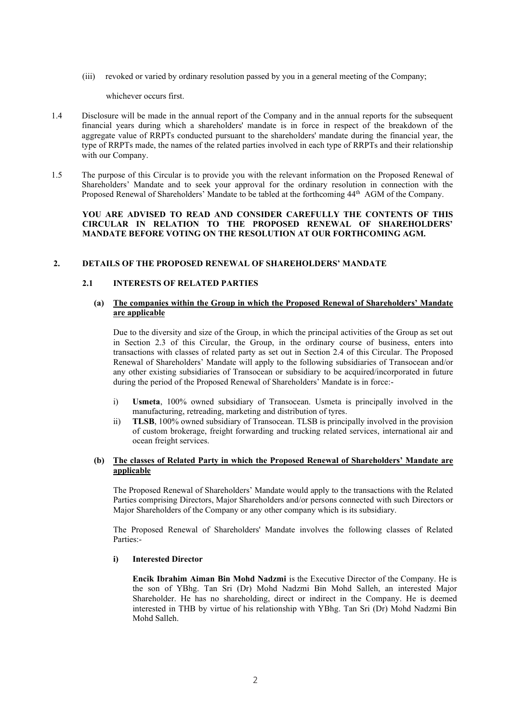(iii) revoked or varied by ordinary resolution passed by you in a general meeting of the Company;

whichever occurs first.

- 1.4 Disclosure will be made in the annual report of the Company and in the annual reports for the subsequent financial years during which a shareholders' mandate is in force in respect of the breakdown of the aggregate value of RRPTs conducted pursuant to the shareholders' mandate during the financial year, the type of RRPTs made, the names of the related parties involved in each type of RRPTs and their relationship with our Company.
- 1.5 The purpose of this Circular is to provide you with the relevant information on the Proposed Renewal of Shareholders' Mandate and to seek your approval for the ordinary resolution in connection with the Proposed Renewal of Shareholders' Mandate to be tabled at the forthcoming 44<sup>th</sup> AGM of the Company.

#### **YOU ARE ADVISED TO READ AND CONSIDER CAREFULLY THE CONTENTS OF THIS CIRCULAR IN RELATION TO THE PROPOSED RENEWAL OF SHAREHOLDERS' MANDATE BEFORE VOTING ON THE RESOLUTION AT OUR FORTHCOMING AGM.**

#### **2. DETAILS OF THE PROPOSED RENEWAL OF SHAREHOLDERS' MANDATE**

#### **2.1 INTERESTS OF RELATED PARTIES**

#### **(a) The companies within the Group in which the Proposed Renewal of Shareholders' Mandate are applicable**

Due to the diversity and size of the Group, in which the principal activities of the Group as set out in Section 2.3 of this Circular, the Group, in the ordinary course of business, enters into transactions with classes of related party as set out in Section 2.4 of this Circular. The Proposed Renewal of Shareholders' Mandate will apply to the following subsidiaries of Transocean and/or any other existing subsidiaries of Transocean or subsidiary to be acquired/incorporated in future during the period of the Proposed Renewal of Shareholders' Mandate is in force:-

- i) **Usmeta**, 100% owned subsidiary of Transocean. Usmeta is principally involved in the manufacturing, retreading, marketing and distribution of tyres.
- ii) **TLSB**, 100% owned subsidiary of Transocean. TLSB is principally involved in the provision of custom brokerage, freight forwarding and trucking related services, international air and ocean freight services.

#### **(b) The classes of Related Party in which the Proposed Renewal of Shareholders' Mandate are applicable**

The Proposed Renewal of Shareholders' Mandate would apply to the transactions with the Related Parties comprising Directors, Major Shareholders and/or persons connected with such Directors or Major Shareholders of the Company or any other company which is its subsidiary.

The Proposed Renewal of Shareholders' Mandate involves the following classes of Related Parties:-

#### **i) Interested Director**

**Encik Ibrahim Aiman Bin Mohd Nadzmi** is the Executive Director of the Company. He is the son of YBhg. Tan Sri (Dr) Mohd Nadzmi Bin Mohd Salleh, an interested Major Shareholder. He has no shareholding, direct or indirect in the Company. He is deemed interested in THB by virtue of his relationship with YBhg. Tan Sri (Dr) Mohd Nadzmi Bin Mohd Salleh.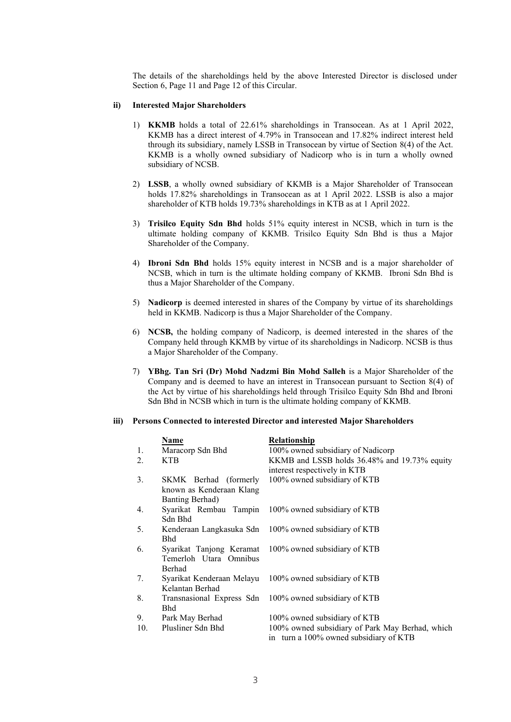The details of the shareholdings held by the above Interested Director is disclosed under Section 6, Page 11 and Page 12 of this Circular.

#### **ii) Interested Major Shareholders**

- 1) **KKMB** holds a total of 22.61% shareholdings in Transocean. As at 1 April 2022, KKMB has a direct interest of 4.79% in Transocean and 17.82% indirect interest held through its subsidiary, namely LSSB in Transocean by virtue of Section 8(4) of the Act. KKMB is a wholly owned subsidiary of Nadicorp who is in turn a wholly owned subsidiary of NCSB.
- 2) **LSSB**, a wholly owned subsidiary of KKMB is a Major Shareholder of Transocean holds 17.82% shareholdings in Transocean as at 1 April 2022. LSSB is also a major shareholder of KTB holds 19.73% shareholdings in KTB as at 1 April 2022.
- 3) **Trisilco Equity Sdn Bhd** holds 51% equity interest in NCSB, which in turn is the ultimate holding company of KKMB. Trisilco Equity Sdn Bhd is thus a Major Shareholder of the Company.
- 4) **Ibroni Sdn Bhd** holds 15% equity interest in NCSB and is a major shareholder of NCSB, which in turn is the ultimate holding company of KKMB. Ibroni Sdn Bhd is thus a Major Shareholder of the Company.
- 5) **Nadicorp** is deemed interested in shares of the Company by virtue of its shareholdings held in KKMB. Nadicorp is thus a Major Shareholder of the Company.
- 6) **NCSB,** the holding company of Nadicorp, is deemed interested in the shares of the Company held through KKMB by virtue of its shareholdings in Nadicorp. NCSB is thus a Major Shareholder of the Company.
- 7) **YBhg. Tan Sri (Dr) Mohd Nadzmi Bin Mohd Salleh** is a Major Shareholder of the Company and is deemed to have an interest in Transocean pursuant to Section 8(4) of the Act by virtue of his shareholdings held through Trisilco Equity Sdn Bhd and Ibroni Sdn Bhd in NCSB which in turn is the ultimate holding company of KKMB.

#### **iii) Persons Connected to interested Director and interested Major Shareholders**

|     | Name                                                                 | Relationship                                                                              |
|-----|----------------------------------------------------------------------|-------------------------------------------------------------------------------------------|
| 1.  | Maracorp Sdn Bhd                                                     | 100% owned subsidiary of Nadicorp                                                         |
| 2.  | <b>KTB</b>                                                           | KKMB and LSSB holds 36.48% and 19.73% equity<br>interest respectively in KTB              |
| 3.  | SKMK Berhad (formerly<br>known as Kenderaan Klang<br>Banting Berhad) | 100% owned subsidiary of KTB                                                              |
| 4.  | Syarikat Rembau Tampin<br>Sdn Bhd                                    | 100% owned subsidiary of KTB                                                              |
| 5.  | Kenderaan Langkasuka Sdn<br><b>Bhd</b>                               | 100% owned subsidiary of KTB                                                              |
| 6.  | Syarikat Tanjong Keramat<br>Temerloh Utara Omnibus<br>Berhad         | 100% owned subsidiary of KTB                                                              |
| 7.  | Syarikat Kenderaan Melayu<br>Kelantan Berhad                         | 100% owned subsidiary of KTB                                                              |
| 8.  | Transnasional Express Sdn<br><b>Bhd</b>                              | 100% owned subsidiary of KTB                                                              |
| 9.  | Park May Berhad                                                      | 100% owned subsidiary of KTB                                                              |
| 10. | Plusliner Sdn Bhd                                                    | 100% owned subsidiary of Park May Berhad, which<br>in turn a 100% owned subsidiary of KTB |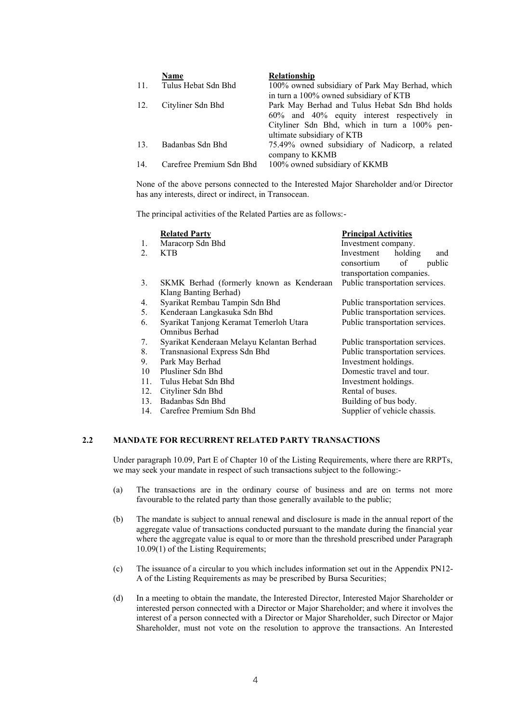|     | Name                     | <b>Relationship</b>                             |
|-----|--------------------------|-------------------------------------------------|
| 11. | Tulus Hebat Sdn Bhd      | 100% owned subsidiary of Park May Berhad, which |
|     |                          | in turn a 100% owned subsidiary of KTB          |
| 12. | Cityliner Sdn Bhd        | Park May Berhad and Tulus Hebat Sdn Bhd holds   |
|     |                          | 60% and 40% equity interest respectively in     |
|     |                          | Cityliner Sdn Bhd, which in turn a 100% pen-    |
|     |                          | ultimate subsidiary of KTB                      |
| 13. | Badanbas Sdn Bhd         | 75.49% owned subsidiary of Nadicorp, a related  |
|     |                          | company to KKMB                                 |
| 14. | Carefree Premium Sdn Bhd | 100% owned subsidiary of KKMB                   |

None of the above persons connected to the Interested Major Shareholder and/or Director has any interests, direct or indirect, in Transocean.

The principal activities of the Related Parties are as follows:-

|     | <b>Related Party</b>                      | <b>Principal Activities</b>     |
|-----|-------------------------------------------|---------------------------------|
| 1.  | Maracorp Sdn Bhd                          | Investment company.             |
| 2.  | <b>KTB</b>                                | Investment<br>holding<br>and    |
|     |                                           | of<br>public<br>consortium      |
|     |                                           | transportation companies.       |
| 3.  | SKMK Berhad (formerly known as Kenderaan  | Public transportation services. |
|     | Klang Banting Berhad)                     |                                 |
| 4.  | Syarikat Rembau Tampin Sdn Bhd            | Public transportation services. |
| 5.  | Kenderaan Langkasuka Sdn Bhd              | Public transportation services. |
| 6.  | Syarikat Tanjong Keramat Temerloh Utara   | Public transportation services. |
|     | Omnibus Berhad                            |                                 |
| 7.  | Syarikat Kenderaan Melayu Kelantan Berhad | Public transportation services. |
| 8.  | Transnasional Express Sdn Bhd             | Public transportation services. |
| 9.  | Park May Berhad                           | Investment holdings.            |
| 10  | Plusliner Sdn Bhd                         | Domestic travel and tour.       |
| 11. | Tulus Hebat Sdn Bhd                       | Investment holdings.            |
| 12. | Cityliner Sdn Bhd                         | Rental of buses.                |
| 13. | Badanbas Sdn Bhd                          | Building of bus body.           |
| 14. | Carefree Premium Sdn Bhd                  | Supplier of vehicle chassis.    |
|     |                                           |                                 |

#### **2.2 MANDATE FOR RECURRENT RELATED PARTY TRANSACTIONS**

Under paragraph 10.09, Part E of Chapter 10 of the Listing Requirements, where there are RRPTs, we may seek your mandate in respect of such transactions subject to the following:-

- (a) The transactions are in the ordinary course of business and are on terms not more favourable to the related party than those generally available to the public;
- (b) The mandate is subject to annual renewal and disclosure is made in the annual report of the aggregate value of transactions conducted pursuant to the mandate during the financial year where the aggregate value is equal to or more than the threshold prescribed under Paragraph 10.09(1) of the Listing Requirements;
- (c) The issuance of a circular to you which includes information set out in the Appendix PN12- A of the Listing Requirements as may be prescribed by Bursa Securities;
- (d) In a meeting to obtain the mandate, the Interested Director, Interested Major Shareholder or interested person connected with a Director or Major Shareholder; and where it involves the interest of a person connected with a Director or Major Shareholder, such Director or Major Shareholder, must not vote on the resolution to approve the transactions. An Interested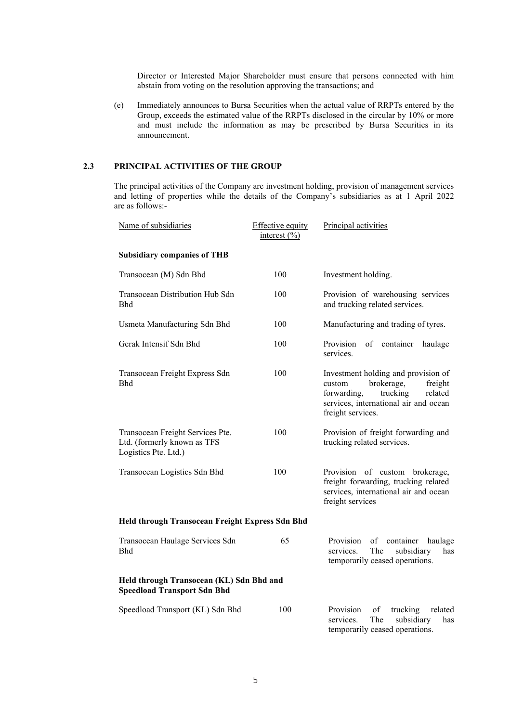Director or Interested Major Shareholder must ensure that persons connected with him abstain from voting on the resolution approving the transactions; and

(e) Immediately announces to Bursa Securities when the actual value of RRPTs entered by the Group, exceeds the estimated value of the RRPTs disclosed in the circular by 10% or more and must include the information as may be prescribed by Bursa Securities in its announcement.

#### **2.3 PRINCIPAL ACTIVITIES OF THE GROUP**

The principal activities of the Company are investment holding, provision of management services and letting of properties while the details of the Company's subsidiaries as at 1 April 2022 are as follows:-

| Name of subsidiaries                                                                    | <b>Effective equity</b><br>interest $(\frac{9}{0})$ | Principal activities                                                                                                                                                       |  |  |
|-----------------------------------------------------------------------------------------|-----------------------------------------------------|----------------------------------------------------------------------------------------------------------------------------------------------------------------------------|--|--|
| <b>Subsidiary companies of THB</b>                                                      |                                                     |                                                                                                                                                                            |  |  |
| Transocean (M) Sdn Bhd                                                                  | 100                                                 | Investment holding.                                                                                                                                                        |  |  |
| Transocean Distribution Hub Sdn<br><b>Bhd</b>                                           | 100                                                 | Provision of warehousing services<br>and trucking related services.                                                                                                        |  |  |
| Usmeta Manufacturing Sdn Bhd                                                            | 100                                                 | Manufacturing and trading of tyres.                                                                                                                                        |  |  |
| Gerak Intensif Sdn Bhd                                                                  | 100                                                 | Provision<br>of container<br>haulage<br>services.                                                                                                                          |  |  |
| Transocean Freight Express Sdn<br>Bhd                                                   | 100                                                 | Investment holding and provision of<br>brokerage,<br>freight<br>custom<br>related<br>forwarding,<br>trucking<br>services, international air and ocean<br>freight services. |  |  |
| Transocean Freight Services Pte.<br>Ltd. (formerly known as TFS<br>Logistics Pte. Ltd.) | 100                                                 | Provision of freight forwarding and<br>trucking related services.                                                                                                          |  |  |
| Transocean Logistics Sdn Bhd                                                            | 100                                                 | Provision of custom brokerage,<br>freight forwarding, trucking related<br>services, international air and ocean<br>freight services                                        |  |  |
| Held through Transocean Freight Express Sdn Bhd                                         |                                                     |                                                                                                                                                                            |  |  |
| Transocean Haulage Services Sdn<br><b>Bhd</b>                                           | 65                                                  | Provision<br>container<br>haulage<br>of<br>The<br>subsidiary<br>services.<br>has<br>temporarily ceased operations.                                                         |  |  |
| Held through Transocean (KL) Sdn Bhd and<br><b>Speedload Transport Sdn Bhd</b>          |                                                     |                                                                                                                                                                            |  |  |
| Speedload Transport (KL) Sdn Bhd                                                        | 100                                                 | Provision<br>of<br>trucking<br>related<br>The<br>services.<br>subsidiary<br>has<br>temporarily ceased operations.                                                          |  |  |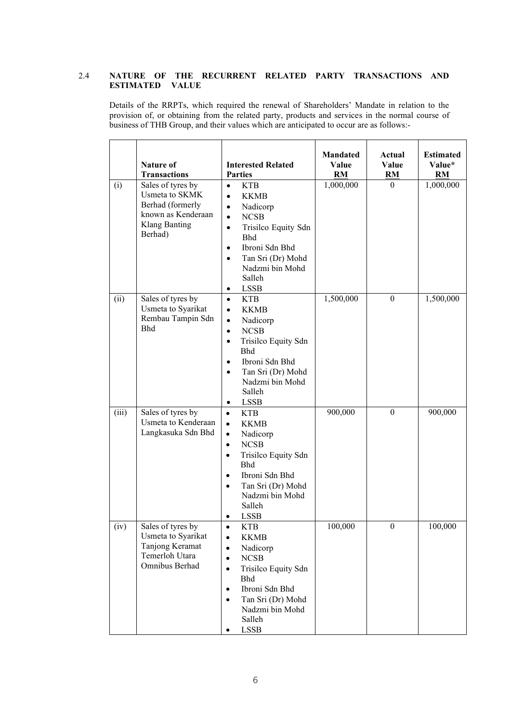#### 2.4 **NATURE OF THE RECURRENT RELATED PARTY TRANSACTIONS AND ESTIMATED VALUE**

Details of the RRPTs, which required the renewal of Shareholders' Mandate in relation to the provision of, or obtaining from the related party, products and services in the normal course of business of THB Group, and their values which are anticipated to occur are as follows:-

|       | <b>Nature of</b><br><b>Transactions</b>                                                                          | <b>Interested Related</b><br><b>Parties</b>                                                                                                                                                                                                                                          | <b>Mandated</b><br>Value<br>RM | Actual<br>Value<br>RM | <b>Estimated</b><br>Value*<br><b>RM</b> |
|-------|------------------------------------------------------------------------------------------------------------------|--------------------------------------------------------------------------------------------------------------------------------------------------------------------------------------------------------------------------------------------------------------------------------------|--------------------------------|-----------------------|-----------------------------------------|
| (i)   | Sales of tyres by<br>Usmeta to SKMK<br>Berhad (formerly<br>known as Kenderaan<br><b>Klang Banting</b><br>Berhad) | <b>KTB</b><br>$\bullet$<br><b>KKMB</b><br>$\bullet$<br>Nadicorp<br>$\bullet$<br><b>NCSB</b><br>$\bullet$<br>Trisilco Equity Sdn<br>$\bullet$<br><b>Bhd</b><br>Ibroni Sdn Bhd<br>$\bullet$<br>Tan Sri (Dr) Mohd<br>$\bullet$<br>Nadzmi bin Mohd<br>Salleh<br><b>LSSB</b><br>$\bullet$ | 1,000,000                      | $\overline{0}$        | 1,000,000                               |
| (ii)  | Sales of tyres by<br>Usmeta to Syarikat<br>Rembau Tampin Sdn<br><b>Bhd</b>                                       | <b>KTB</b><br>$\bullet$<br><b>KKMB</b><br>$\bullet$<br>Nadicorp<br>$\bullet$<br>NCSB<br>$\bullet$<br>Trisilco Equity Sdn<br>$\bullet$<br><b>Bhd</b><br>Ibroni Sdn Bhd<br>$\bullet$<br>Tan Sri (Dr) Mohd<br>$\bullet$<br>Nadzmi bin Mohd<br>Salleh<br><b>LSSB</b><br>$\bullet$        | 1,500,000                      | $\mathbf{0}$          | 1,500,000                               |
| (iii) | Sales of tyres by<br>Usmeta to Kenderaan<br>Langkasuka Sdn Bhd                                                   | <b>KTB</b><br>$\bullet$<br><b>KKMB</b><br>$\bullet$<br>Nadicorp<br>$\bullet$<br><b>NCSB</b><br>$\bullet$<br>Trisilco Equity Sdn<br>$\bullet$<br>Bhd<br>Ibroni Sdn Bhd<br>$\bullet$<br>Tan Sri (Dr) Mohd<br>$\bullet$<br>Nadzmi bin Mohd<br>Salleh<br><b>LSSB</b>                     | 900,000                        | $\mathbf{0}$          | 900,000                                 |
| (iv)  | Sales of tyres by<br>Usmeta to Syarikat<br>Tanjong Keramat<br>Temerloh Utara<br>Omnibus Berhad                   | <b>KTB</b><br><b>KKMB</b><br>$\bullet$<br>Nadicorp<br>$\bullet$<br><b>NCSB</b><br>$\bullet$<br>Trisilco Equity Sdn<br>$\bullet$<br>Bhd<br>Ibroni Sdn Bhd<br>$\bullet$<br>Tan Sri (Dr) Mohd<br>$\bullet$<br>Nadzmi bin Mohd<br>Salleh<br><b>LSSB</b><br>$\bullet$                     | 100,000                        | $\boldsymbol{0}$      | 100,000                                 |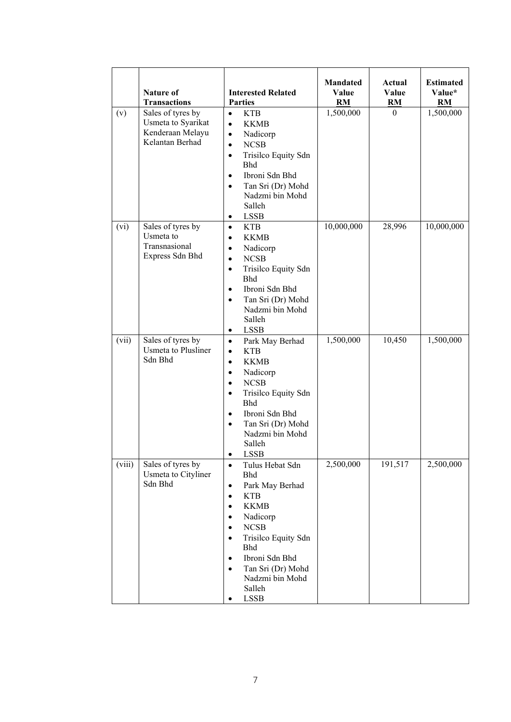|        | Nature of<br><b>Transactions</b>                                               | <b>Interested Related</b><br><b>Parties</b>                                                                                                                                                                                                                                                                                                         | <b>Mandated</b><br>Value<br><b>RM</b> | Actual<br>Value<br><b>RM</b> | <b>Estimated</b><br>Value*<br><b>RM</b> |
|--------|--------------------------------------------------------------------------------|-----------------------------------------------------------------------------------------------------------------------------------------------------------------------------------------------------------------------------------------------------------------------------------------------------------------------------------------------------|---------------------------------------|------------------------------|-----------------------------------------|
| (v)    | Sales of tyres by<br>Usmeta to Syarikat<br>Kenderaan Melayu<br>Kelantan Berhad | <b>KTB</b><br>$\bullet$<br><b>KKMB</b><br>$\bullet$<br>Nadicorp<br>$\bullet$<br><b>NCSB</b><br>$\bullet$<br>Trisilco Equity Sdn<br>$\bullet$<br><b>Bhd</b><br>Ibroni Sdn Bhd<br>$\bullet$<br>Tan Sri (Dr) Mohd<br>$\bullet$<br>Nadzmi bin Mohd<br>Salleh<br><b>LSSB</b><br>٠                                                                        | 1,500,000                             | $\mathbf{0}$                 | 1,500,000                               |
| (vi)   | Sales of tyres by<br>Usmeta to<br>Transnasional<br>Express Sdn Bhd             | <b>KTB</b><br>$\bullet$<br><b>KKMB</b><br>$\bullet$<br>Nadicorp<br>$\bullet$<br><b>NCSB</b><br>$\bullet$<br>Trisilco Equity Sdn<br>$\bullet$<br><b>Bhd</b><br>Ibroni Sdn Bhd<br>$\bullet$<br>Tan Sri (Dr) Mohd<br>$\bullet$<br>Nadzmi bin Mohd<br>Salleh<br><b>LSSB</b><br>$\bullet$                                                                | 10,000,000                            | 28,996                       | 10,000,000                              |
| (vii)  | Sales of tyres by<br><b>Usmeta</b> to Plusliner<br>Sdn Bhd                     | Park May Berhad<br>$\bullet$<br><b>KTB</b><br>$\bullet$<br><b>KKMB</b><br>$\bullet$<br>Nadicorp<br>$\bullet$<br><b>NCSB</b><br>$\bullet$<br>Trisilco Equity Sdn<br>$\bullet$<br><b>Bhd</b><br>Ibroni Sdn Bhd<br>$\bullet$<br>Tan Sri (Dr) Mohd<br>$\bullet$<br>Nadzmi bin Mohd<br>Salleh<br>LSSB<br>٠                                               | 1,500,000                             | 10,450                       | 1,500,000                               |
| (viii) | Sales of tyres by<br>Usmeta to Cityliner<br>Sdn Bhd                            | Tulus Hebat Sdn<br>$\bullet$<br>Bhd<br>Park May Berhad<br>$\bullet$<br><b>KTB</b><br>$\bullet$<br><b>KKMB</b><br>$\bullet$<br>Nadicorp<br>$\bullet$<br><b>NCSB</b><br>$\bullet$<br>Trisilco Equity Sdn<br>$\bullet$<br><b>Bhd</b><br>Ibroni Sdn Bhd<br>$\bullet$<br>Tan Sri (Dr) Mohd<br>$\bullet$<br>Nadzmi bin Mohd<br>Salleh<br><b>LSSB</b><br>٠ | 2,500,000                             | 191,517                      | 2,500,000                               |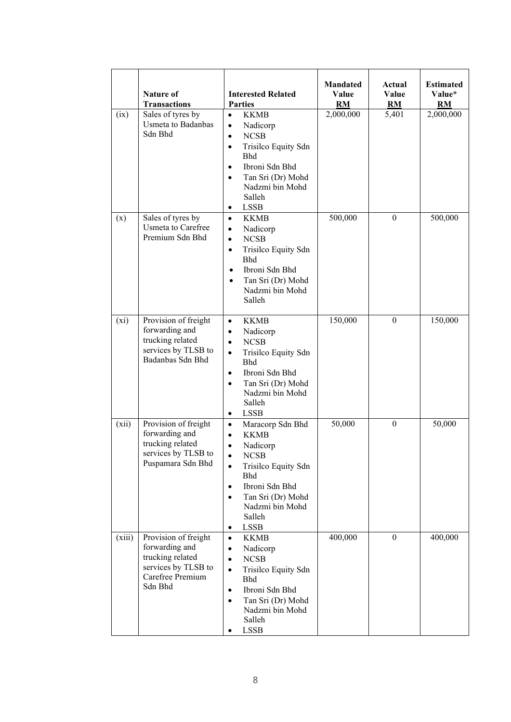|         | <b>Nature of</b><br><b>Transactions</b>                                                                          | <b>Interested Related</b><br><b>Parties</b>                                                                                                                                                                                                                                                | <b>Mandated</b><br>Value<br><b>RM</b> | Actual<br>Value<br>RM | <b>Estimated</b><br>Value*<br>RM |
|---------|------------------------------------------------------------------------------------------------------------------|--------------------------------------------------------------------------------------------------------------------------------------------------------------------------------------------------------------------------------------------------------------------------------------------|---------------------------------------|-----------------------|----------------------------------|
| (ix)    | Sales of tyres by<br>Usmeta to Badanbas<br>Sdn Bhd                                                               | <b>KKMB</b><br>$\bullet$<br>Nadicorp<br>$\bullet$<br>NCSB<br>$\bullet$<br>Trisilco Equity Sdn<br>$\bullet$<br><b>Bhd</b><br>Ibroni Sdn Bhd<br>$\bullet$<br>Tan Sri (Dr) Mohd<br>Nadzmi bin Mohd<br>Salleh<br><b>LSSB</b><br>٠                                                              | 2,000,000                             | 5,401                 | 2,000,000                        |
| (x)     | Sales of tyres by<br>Usmeta to Carefree<br>Premium Sdn Bhd                                                       | <b>KKMB</b><br>$\bullet$<br>Nadicorp<br>$\bullet$<br><b>NCSB</b><br>$\bullet$<br>Trisilco Equity Sdn<br>$\bullet$<br><b>Bhd</b><br>Ibroni Sdn Bhd<br>$\bullet$<br>Tan Sri (Dr) Mohd<br>$\bullet$<br>Nadzmi bin Mohd<br>Salleh                                                              | 500,000                               | $\Omega$              | 500,000                          |
| $(x_i)$ | Provision of freight<br>forwarding and<br>trucking related<br>services by TLSB to<br>Badanbas Sdn Bhd            | <b>KKMB</b><br>$\bullet$<br>Nadicorp<br>$\bullet$<br><b>NCSB</b><br>$\bullet$<br>Trisilco Equity Sdn<br>$\bullet$<br><b>Bhd</b><br>Ibroni Sdn Bhd<br>$\bullet$<br>Tan Sri (Dr) Mohd<br>$\bullet$<br>Nadzmi bin Mohd<br>Salleh<br><b>LSSB</b><br>٠                                          | 150,000                               | $\mathbf{0}$          | 150,000                          |
| (xii)   | Provision of freight<br>forwarding and<br>trucking related<br>services by TLSB to<br>Puspamara Sdn Bhd           | Maracorp Sdn Bhd<br>$\bullet$<br><b>KKMB</b><br>$\bullet$<br>Nadicorp<br>$\bullet$<br>$\bullet$<br><b>NCSB</b><br>Trisilco Equity Sdn<br>$\bullet$<br><b>Bhd</b><br>Ibroni Sdn Bhd<br>$\bullet$<br>Tan Sri (Dr) Mohd<br>$\bullet$<br>Nadzmi bin Mohd<br>Salleh<br><b>LSSB</b><br>$\bullet$ | 50,000                                | $\Omega$              | 50,000                           |
| (xiii)  | Provision of freight<br>forwarding and<br>trucking related<br>services by TLSB to<br>Carefree Premium<br>Sdn Bhd | <b>KKMB</b><br>$\bullet$<br>Nadicorp<br>$\bullet$<br><b>NCSB</b><br>$\bullet$<br>Trisilco Equity Sdn<br>$\bullet$<br><b>Bhd</b><br>Ibroni Sdn Bhd<br>$\bullet$<br>Tan Sri (Dr) Mohd<br>$\bullet$<br>Nadzmi bin Mohd<br>Salleh<br><b>LSSB</b><br>٠                                          | 400,000                               | $\overline{0}$        | 400,000                          |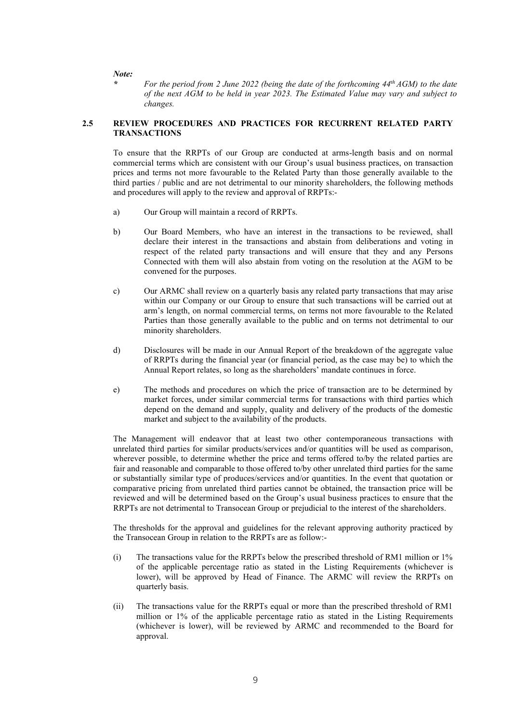*Note:*

*\* For the period from 2 June 2022 (being the date of the forthcoming 44th AGM) to the date of the next AGM to be held in year 2023. The Estimated Value may vary and subject to changes.*

#### **2.5 REVIEW PROCEDURES AND PRACTICES FOR RECURRENT RELATED PARTY TRANSACTIONS**

To ensure that the RRPTs of our Group are conducted at arms-length basis and on normal commercial terms which are consistent with our Group's usual business practices, on transaction prices and terms not more favourable to the Related Party than those generally available to the third parties / public and are not detrimental to our minority shareholders, the following methods and procedures will apply to the review and approval of RRPTs:-

- a) Our Group will maintain a record of RRPTs.
- b) Our Board Members, who have an interest in the transactions to be reviewed, shall declare their interest in the transactions and abstain from deliberations and voting in respect of the related party transactions and will ensure that they and any Persons Connected with them will also abstain from voting on the resolution at the AGM to be convened for the purposes.
- c) Our ARMC shall review on a quarterly basis any related party transactions that may arise within our Company or our Group to ensure that such transactions will be carried out at arm's length, on normal commercial terms, on terms not more favourable to the Related Parties than those generally available to the public and on terms not detrimental to our minority shareholders.
- d) Disclosures will be made in our Annual Report of the breakdown of the aggregate value of RRPTs during the financial year (or financial period, as the case may be) to which the Annual Report relates, so long as the shareholders' mandate continues in force.
- e) The methods and procedures on which the price of transaction are to be determined by market forces, under similar commercial terms for transactions with third parties which depend on the demand and supply, quality and delivery of the products of the domestic market and subject to the availability of the products.

The Management will endeavor that at least two other contemporaneous transactions with unrelated third parties for similar products/services and/or quantities will be used as comparison, wherever possible, to determine whether the price and terms offered to/by the related parties are fair and reasonable and comparable to those offered to/by other unrelated third parties for the same or substantially similar type of produces/services and/or quantities. In the event that quotation or comparative pricing from unrelated third parties cannot be obtained, the transaction price will be reviewed and will be determined based on the Group's usual business practices to ensure that the RRPTs are not detrimental to Transocean Group or prejudicial to the interest of the shareholders.

The thresholds for the approval and guidelines for the relevant approving authority practiced by the Transocean Group in relation to the RRPTs are as follow:-

- (i) The transactions value for the RRPTs below the prescribed threshold of RM1 million or 1% of the applicable percentage ratio as stated in the Listing Requirements (whichever is lower), will be approved by Head of Finance. The ARMC will review the RRPTs on quarterly basis.
- (ii) The transactions value for the RRPTs equal or more than the prescribed threshold of RM1 million or 1% of the applicable percentage ratio as stated in the Listing Requirements (whichever is lower), will be reviewed by ARMC and recommended to the Board for approval.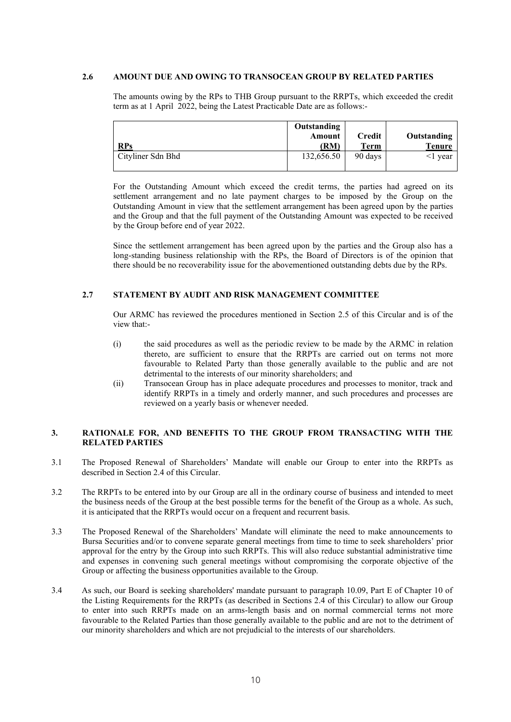#### **2.6 AMOUNT DUE AND OWING TO TRANSOCEAN GROUP BY RELATED PARTIES**

The amounts owing by the RPs to THB Group pursuant to the RRPTs, which exceeded the credit term as at 1 April 2022, being the Latest Practicable Date are as follows:-

| <b>RPs</b>        | Outstanding<br>Amount<br>(RM) | Credit<br>Term | Outstanding<br><b>Tenure</b> |
|-------------------|-------------------------------|----------------|------------------------------|
| Cityliner Sdn Bhd | 132,656.50                    | 90 days        | <1 vear                      |

For the Outstanding Amount which exceed the credit terms, the parties had agreed on its settlement arrangement and no late payment charges to be imposed by the Group on the Outstanding Amount in view that the settlement arrangement has been agreed upon by the parties and the Group and that the full payment of the Outstanding Amount was expected to be received by the Group before end of year 2022.

Since the settlement arrangement has been agreed upon by the parties and the Group also has a long-standing business relationship with the RPs, the Board of Directors is of the opinion that there should be no recoverability issue for the abovementioned outstanding debts due by the RPs.

#### **2.7 STATEMENT BY AUDIT AND RISK MANAGEMENT COMMITTEE**

Our ARMC has reviewed the procedures mentioned in Section 2.5 of this Circular and is of the view that:-

- (i) the said procedures as well as the periodic review to be made by the ARMC in relation thereto, are sufficient to ensure that the RRPTs are carried out on terms not more favourable to Related Party than those generally available to the public and are not detrimental to the interests of our minority shareholders; and
- (ii) Transocean Group has in place adequate procedures and processes to monitor, track and identify RRPTs in a timely and orderly manner, and such procedures and processes are reviewed on a yearly basis or whenever needed.

#### **3. RATIONALE FOR, AND BENEFITS TO THE GROUP FROM TRANSACTING WITH THE RELATED PARTIES**

- 3.1 The Proposed Renewal of Shareholders' Mandate will enable our Group to enter into the RRPTs as described in Section 2.4 of this Circular.
- 3.2 The RRPTs to be entered into by our Group are all in the ordinary course of business and intended to meet the business needs of the Group at the best possible terms for the benefit of the Group as a whole. As such, it is anticipated that the RRPTs would occur on a frequent and recurrent basis.
- 3.3 The Proposed Renewal of the Shareholders' Mandate will eliminate the need to make announcements to Bursa Securities and/or to convene separate general meetings from time to time to seek shareholders' prior approval for the entry by the Group into such RRPTs. This will also reduce substantial administrative time and expenses in convening such general meetings without compromising the corporate objective of the Group or affecting the business opportunities available to the Group.
- 3.4 As such, our Board is seeking shareholders' mandate pursuant to paragraph 10.09, Part E of Chapter 10 of the Listing Requirements for the RRPTs (as described in Sections 2.4 of this Circular) to allow our Group to enter into such RRPTs made on an arms-length basis and on normal commercial terms not more favourable to the Related Parties than those generally available to the public and are not to the detriment of our minority shareholders and which are not prejudicial to the interests of our shareholders.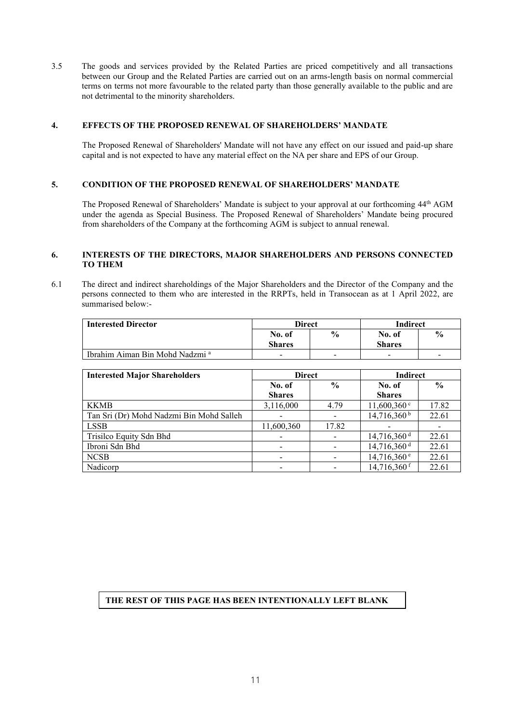3.5 The goods and services provided by the Related Parties are priced competitively and all transactions between our Group and the Related Parties are carried out on an arms-length basis on normal commercial terms on terms not more favourable to the related party than those generally available to the public and are not detrimental to the minority shareholders.

#### **4. EFFECTS OF THE PROPOSED RENEWAL OF SHAREHOLDERS' MANDATE**

The Proposed Renewal of Shareholders' Mandate will not have any effect on our issued and paid-up share capital and is not expected to have any material effect on the NA per share and EPS of our Group.

#### **5. CONDITION OF THE PROPOSED RENEWAL OF SHAREHOLDERS' MANDATE**

The Proposed Renewal of Shareholders' Mandate is subject to your approval at our forthcoming 44th AGM under the agenda as Special Business. The Proposed Renewal of Shareholders' Mandate being procured from shareholders of the Company at the forthcoming AGM is subject to annual renewal.

#### **6. INTERESTS OF THE DIRECTORS, MAJOR SHAREHOLDERS AND PERSONS CONNECTED TO THEM**

6.1 The direct and indirect shareholdings of the Major Shareholders and the Director of the Company and the persons connected to them who are interested in the RRPTs, held in Transocean as at 1 April 2022, are summarised below:-

| <b>Interested Director</b>                 | <b>Direct</b> |               | Indirect                 |               |
|--------------------------------------------|---------------|---------------|--------------------------|---------------|
|                                            | No. of        | $\frac{6}{9}$ | No. of                   | $\frac{0}{6}$ |
|                                            | <b>Shares</b> |               | <b>Shares</b>            |               |
| Ibrahim Aiman Bin Mohd Nadzmi <sup>a</sup> | -             | -             | $\overline{\phantom{0}}$ | -             |

| <b>Interested Major Shareholders</b>     | <b>Direct</b> |               | <b>Indirect</b>           |               |
|------------------------------------------|---------------|---------------|---------------------------|---------------|
|                                          | No. of        | $\frac{6}{9}$ | No. of                    | $\frac{6}{9}$ |
|                                          | <b>Shares</b> |               | <b>Shares</b>             |               |
| <b>KKMB</b>                              | 3,116,000     | 4.79          | $11,600,360$ <sup>c</sup> | 17.82         |
| Tan Sri (Dr) Mohd Nadzmi Bin Mohd Salleh |               |               | $14,716,360^{\mathrm{b}}$ | 22.61         |
| <b>LSSB</b>                              | 11,600,360    | 17.82         |                           |               |
| Trisilco Equity Sdn Bhd                  |               |               | $14,716,360$ <sup>d</sup> | 22.61         |
| Ibroni Sdn Bhd                           |               |               | 14,716,360 <sup>d</sup>   | 22.61         |
| <b>NCSB</b>                              |               |               | $14,716,360$ <sup>e</sup> | 22.61         |
| Nadicorp                                 |               |               | $14,716,360$ <sup>f</sup> | 22.61         |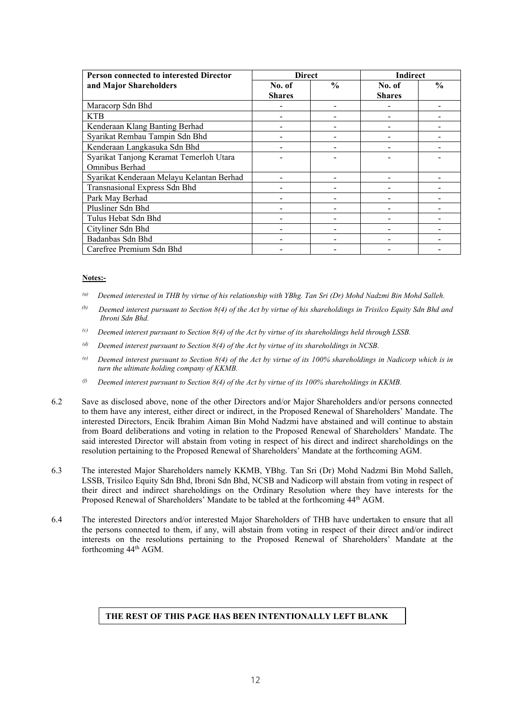| <b>Person connected to interested Director</b> | <b>Direct</b>           |               | <b>Indirect</b>         |               |
|------------------------------------------------|-------------------------|---------------|-------------------------|---------------|
| and Major Shareholders                         | No. of<br><b>Shares</b> | $\frac{0}{0}$ | No. of<br><b>Shares</b> | $\frac{6}{9}$ |
| Maracorp Sdn Bhd                               |                         |               |                         |               |
| <b>KTB</b>                                     |                         |               |                         |               |
| Kenderaan Klang Banting Berhad                 |                         |               |                         |               |
| Syarikat Rembau Tampin Sdn Bhd                 |                         |               |                         |               |
| Kenderaan Langkasuka Sdn Bhd                   |                         |               |                         |               |
| Syarikat Tanjong Keramat Temerloh Utara        |                         |               |                         |               |
| Omnibus Berhad                                 |                         |               |                         |               |
| Syarikat Kenderaan Melayu Kelantan Berhad      |                         |               |                         |               |
| Transnasional Express Sdn Bhd                  |                         |               |                         |               |
| Park May Berhad                                |                         |               |                         |               |
| Plusliner Sdn Bhd                              |                         |               |                         |               |
| Tulus Hebat Sdn Bhd                            |                         |               |                         |               |
| Cityliner Sdn Bhd                              |                         |               |                         |               |
| Badanbas Sdn Bhd                               |                         |               |                         |               |
| Carefree Premium Sdn Bhd                       |                         |               |                         |               |

#### **Notes:-**

- *(a) Deemed interested in THB by virtue of his relationship with YBhg. Tan Sri (Dr) Mohd Nadzmi Bin Mohd Salleh.*
- *(b) Deemed interest pursuant to Section 8(4) of the Act by virtue of his shareholdings in Trisilco Equity Sdn Bhd and Ibroni Sdn Bhd.*
- *(c) Deemed interest pursuant to Section 8(4) of the Act by virtue of its shareholdings held through LSSB.*
- *(d) Deemed interest pursuant to Section 8(4) of the Act by virtue of its shareholdings in NCSB.*
- *(e) Deemed interest pursuant to Section 8(4) of the Act by virtue of its 100% shareholdings in Nadicorp which is in turn the ultimate holding company of KKMB.*
- *(f) Deemed interest pursuant to Section 8(4) of the Act by virtue of its 100% shareholdings in KKMB.*
- 6.2 Save as disclosed above, none of the other Directors and/or Major Shareholders and/or persons connected to them have any interest, either direct or indirect, in the Proposed Renewal of Shareholders' Mandate. The interested Directors, Encik Ibrahim Aiman Bin Mohd Nadzmi have abstained and will continue to abstain from Board deliberations and voting in relation to the Proposed Renewal of Shareholders' Mandate. The said interested Director will abstain from voting in respect of his direct and indirect shareholdings on the resolution pertaining to the Proposed Renewal of Shareholders' Mandate at the forthcoming AGM.
- 6.3 The interested Major Shareholders namely KKMB, YBhg. Tan Sri (Dr) Mohd Nadzmi Bin Mohd Salleh, LSSB, Trisilco Equity Sdn Bhd, Ibroni Sdn Bhd, NCSB and Nadicorp will abstain from voting in respect of their direct and indirect shareholdings on the Ordinary Resolution where they have interests for the Proposed Renewal of Shareholders' Mandate to be tabled at the forthcoming 44<sup>th</sup> AGM.
- 6.4 The interested Directors and/or interested Major Shareholders of THB have undertaken to ensure that all the persons connected to them, if any, will abstain from voting in respect of their direct and/or indirect interests on the resolutions pertaining to the Proposed Renewal of Shareholders' Mandate at the forthcoming 44th AGM.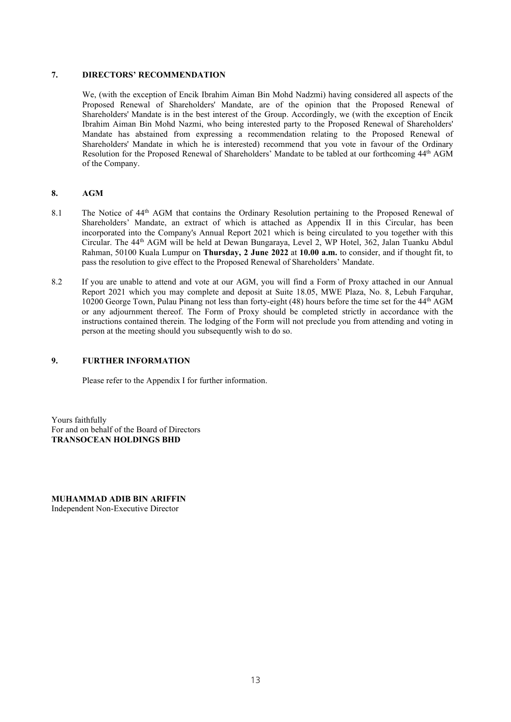#### **7. DIRECTORS' RECOMMENDATION**

We, (with the exception of Encik Ibrahim Aiman Bin Mohd Nadzmi) having considered all aspects of the Proposed Renewal of Shareholders' Mandate, are of the opinion that the Proposed Renewal of Shareholders' Mandate is in the best interest of the Group. Accordingly, we (with the exception of Encik Ibrahim Aiman Bin Mohd Nazmi, who being interested party to the Proposed Renewal of Shareholders' Mandate has abstained from expressing a recommendation relating to the Proposed Renewal of Shareholders' Mandate in which he is interested) recommend that you vote in favour of the Ordinary Resolution for the Proposed Renewal of Shareholders' Mandate to be tabled at our forthcoming 44th AGM of the Company.

#### **8. AGM**

- 8.1 The Notice of 44<sup>th</sup> AGM that contains the Ordinary Resolution pertaining to the Proposed Renewal of Shareholders' Mandate, an extract of which is attached as Appendix II in this Circular, has been incorporated into the Company's Annual Report 2021 which is being circulated to you together with this Circular. The 44th AGM will be held at Dewan Bungaraya, Level 2, WP Hotel, 362, Jalan Tuanku Abdul Rahman, 50100 Kuala Lumpur on **Thursday, 2 June 2022** at **10.00 a.m.** to consider, and if thought fit, to pass the resolution to give effect to the Proposed Renewal of Shareholders' Mandate.
- 8.2 If you are unable to attend and vote at our AGM, you will find a Form of Proxy attached in our Annual Report 2021 which you may complete and deposit at Suite 18.05, MWE Plaza, No. 8, Lebuh Farquhar, 10200 George Town, Pulau Pinang not less than forty-eight (48) hours before the time set for the 44th AGM or any adjournment thereof. The Form of Proxy should be completed strictly in accordance with the instructions contained therein. The lodging of the Form will not preclude you from attending and voting in person at the meeting should you subsequently wish to do so.

#### **9. FURTHER INFORMATION**

Please refer to the Appendix I for further information.

Yours faithfully For and on behalf of the Board of Directors **TRANSOCEAN HOLDINGS BHD**

**MUHAMMAD ADIB BIN ARIFFIN** Independent Non-Executive Director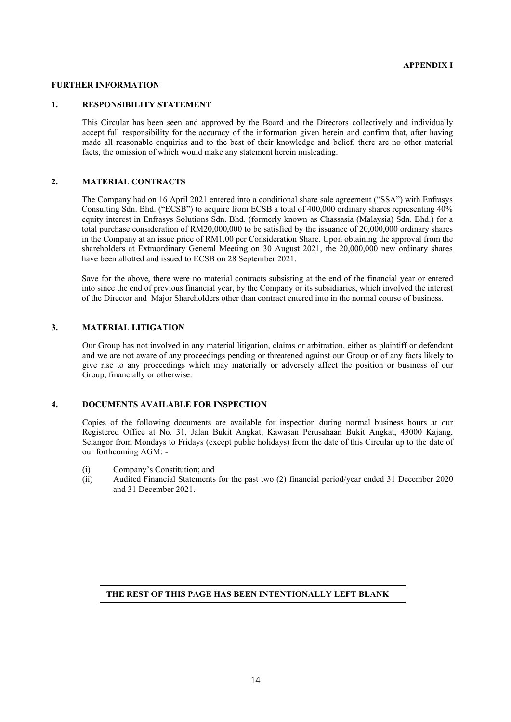#### **FURTHER INFORMATION**

#### **1. RESPONSIBILITY STATEMENT**

This Circular has been seen and approved by the Board and the Directors collectively and individually accept full responsibility for the accuracy of the information given herein and confirm that, after having made all reasonable enquiries and to the best of their knowledge and belief, there are no other material facts, the omission of which would make any statement herein misleading.

#### **2. MATERIAL CONTRACTS**

The Company had on 16 April 2021 entered into a conditional share sale agreement ("SSA") with Enfrasys Consulting Sdn. Bhd. ("ECSB") to acquire from ECSB a total of 400,000 ordinary shares representing 40% equity interest in Enfrasys Solutions Sdn. Bhd. (formerly known as Chassasia (Malaysia) Sdn. Bhd.) for a total purchase consideration of RM20,000,000 to be satisfied by the issuance of 20,000,000 ordinary shares in the Company at an issue price of RM1.00 per Consideration Share. Upon obtaining the approval from the shareholders at Extraordinary General Meeting on 30 August 2021, the 20,000,000 new ordinary shares have been allotted and issued to ECSB on 28 September 2021.

Save for the above, there were no material contracts subsisting at the end of the financial year or entered into since the end of previous financial year, by the Company or its subsidiaries, which involved the interest of the Director and Major Shareholders other than contract entered into in the normal course of business.

#### **3. MATERIAL LITIGATION**

Our Group has not involved in any material litigation, claims or arbitration, either as plaintiff or defendant and we are not aware of any proceedings pending or threatened against our Group or of any facts likely to give rise to any proceedings which may materially or adversely affect the position or business of our Group, financially or otherwise.

#### **4. DOCUMENTS AVAILABLE FOR INSPECTION**

Copies of the following documents are available for inspection during normal business hours at our Registered Office at No. 31, Jalan Bukit Angkat, Kawasan Perusahaan Bukit Angkat, 43000 Kajang, Selangor from Mondays to Fridays (except public holidays) from the date of this Circular up to the date of our forthcoming AGM: -

- (i) Company's Constitution; and
- (ii) Audited Financial Statements for the past two (2) financial period/year ended 31 December 2020 and 31 December 2021.